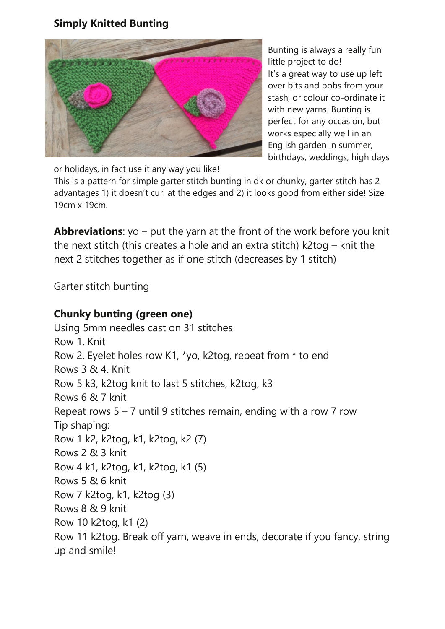## **Simply Knitted Bunting**



Bunting is always a really fun little project to do! It's a great way to use up left over bits and bobs from your stash, or colour co-ordinate it with new yarns. Bunting is perfect for any occasion, but works especially well in an English garden in summer, birthdays, weddings, high days

or holidays, in fact use it any way you like!

This is a pattern for simple garter stitch bunting in dk or chunky, garter stitch has 2 advantages 1) it doesn't curl at the edges and 2) it looks good from either side! Size 19cm x 19cm.

**Abbreviations**: yo – put the yarn at the front of the work before you knit the next stitch (this creates a hole and an extra stitch) k2tog – knit the next 2 stitches together as if one stitch (decreases by 1 stitch)

Garter stitch bunting

## **Chunky bunting (green one)**

Using 5mm needles cast on 31 stitches Row 1. Knit Row 2. Eyelet holes row K1, \*yo, k2tog, repeat from \* to end Rows 3 & 4. Knit Row 5 k3, k2tog knit to last 5 stitches, k2tog, k3 Rows 6 & 7 knit Repeat rows  $5 - 7$  until 9 stitches remain, ending with a row 7 row Tip shaping: Row 1 k2, k2tog, k1, k2tog, k2 (7) Rows 2 & 3 knit Row 4 k1, k2tog, k1, k2tog, k1 (5) Rows 5 & 6 knit Row 7 k2tog, k1, k2tog (3) Rows 8 & 9 knit Row 10 k2tog, k1 (2) Row 11 k2tog. Break off yarn, weave in ends, decorate if you fancy, string up and smile!